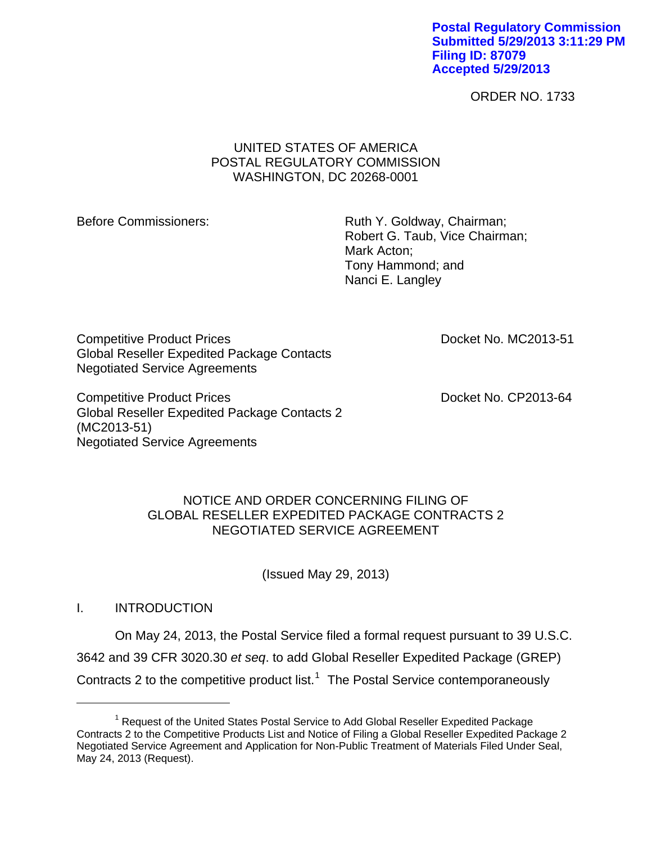**Postal Regulatory Commission Submitted 5/29/2013 3:11:29 PM Filing ID: 87079 Accepted 5/29/2013**

ORDER NO. 1733

### UNITED STATES OF AMERICA POSTAL REGULATORY COMMISSION WASHINGTON, DC 20268-0001

Before Commissioners: Ruth Y. Goldway, Chairman; Robert G. Taub, Vice Chairman; Mark Acton; Tony Hammond; and Nanci E. Langley

Competitive Product Prices **Docket No. MC2013-51** Global Reseller Expedited Package Contacts Negotiated Service Agreements

Competitive Product Prices **Docket No. CP2013-64** Global Reseller Expedited Package Contacts 2 (MC2013-51) Negotiated Service Agreements

### NOTICE AND ORDER CONCERNING FILING OF GLOBAL RESELLER EXPEDITED PACKAGE CONTRACTS 2 NEGOTIATED SERVICE AGREEMENT

(Issued May 29, 2013)

## I. INTRODUCTION

 $\overline{a}$ 

On May 24, 2013, the Postal Service filed a formal request pursuant to 39 U.S.C. 3642 and 39 CFR 3020.30 *et seq*. to add Global Reseller Expedited Package (GREP) Contracts 2 to the competitive product list.<sup>[1](#page-0-0)</sup> The Postal Service contemporaneously

<span id="page-0-0"></span><sup>&</sup>lt;sup>1</sup> Request of the United States Postal Service to Add Global Reseller Expedited Package Contracts 2 to the Competitive Products List and Notice of Filing a Global Reseller Expedited Package 2 Negotiated Service Agreement and Application for Non-Public Treatment of Materials Filed Under Seal, May 24, 2013 (Request).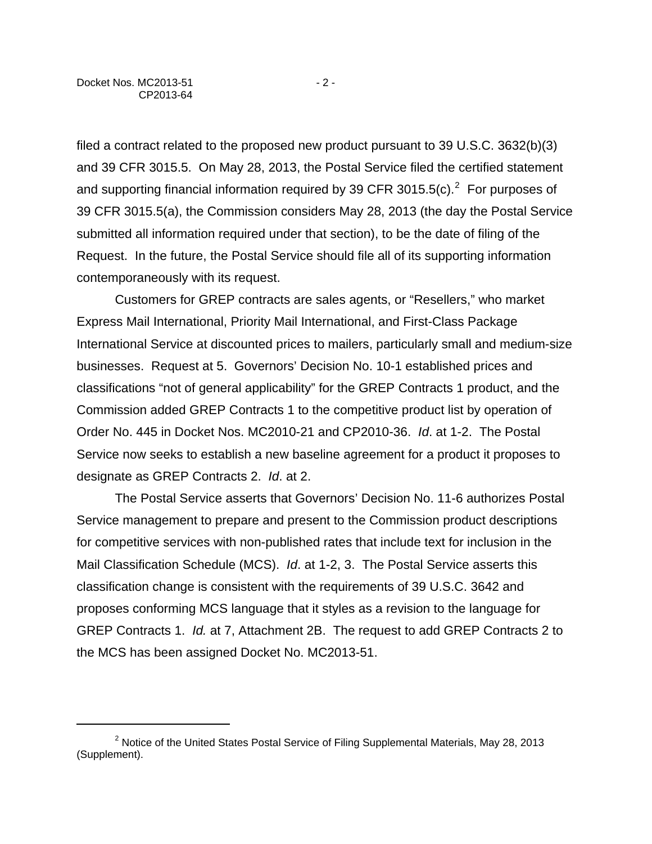$\overline{a}$ 

filed a contract related to the proposed new product pursuant to 39 U.S.C. 3632(b)(3) and 39 CFR 3015.5. On May 28, 2013, the Postal Service filed the certified statement and supporting financial information required by 39 CFR 3015.5(c).<sup>[2](#page-1-0)</sup> For purposes of 39 CFR 3015.5(a), the Commission considers May 28, 2013 (the day the Postal Service submitted all information required under that section), to be the date of filing of the Request. In the future, the Postal Service should file all of its supporting information contemporaneously with its request.

Customers for GREP contracts are sales agents, or "Resellers," who market Express Mail International, Priority Mail International, and First-Class Package International Service at discounted prices to mailers, particularly small and medium-size businesses. Request at 5. Governors' Decision No. 10-1 established prices and classifications "not of general applicability" for the GREP Contracts 1 product, and the Commission added GREP Contracts 1 to the competitive product list by operation of Order No. 445 in Docket Nos. MC2010-21 and CP2010-36. *Id*. at 1-2. The Postal Service now seeks to establish a new baseline agreement for a product it proposes to designate as GREP Contracts 2. *Id*. at 2.

The Postal Service asserts that Governors' Decision No. 11-6 authorizes Postal Service management to prepare and present to the Commission product descriptions for competitive services with non-published rates that include text for inclusion in the Mail Classification Schedule (MCS). *Id*. at 1-2, 3. The Postal Service asserts this classification change is consistent with the requirements of 39 U.S.C. 3642 and proposes conforming MCS language that it styles as a revision to the language for GREP Contracts 1. *Id.* at 7, Attachment 2B. The request to add GREP Contracts 2 to the MCS has been assigned Docket No. MC2013-51.

<span id="page-1-0"></span><sup>&</sup>lt;sup>2</sup> Notice of the United States Postal Service of Filing Supplemental Materials, May 28, 2013 (Supplement).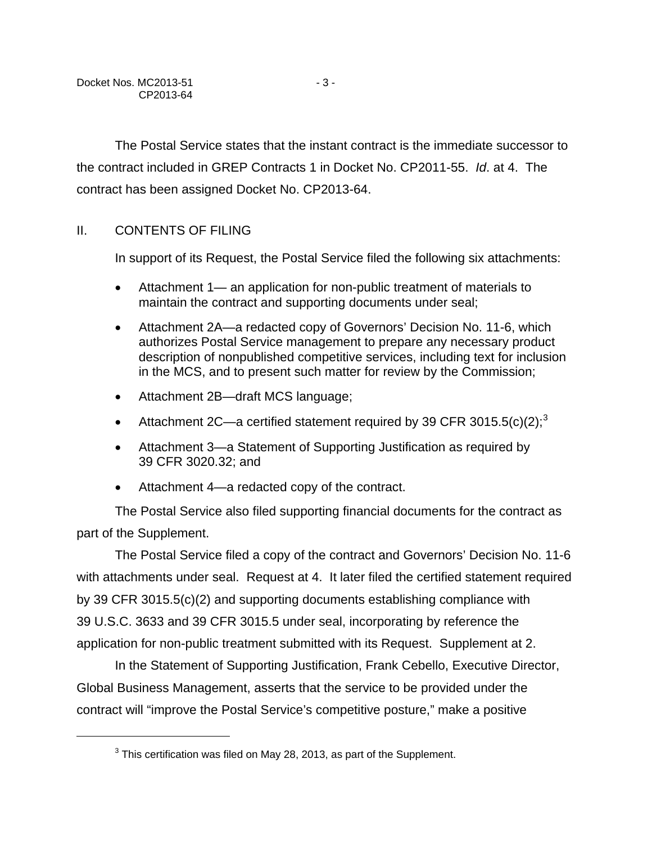<span id="page-2-0"></span>1

The Postal Service states that the instant contract is the immediate successor to the contract included in GREP Contracts 1 in Docket No. CP2011-55. *Id*. at 4. The contract has been assigned Docket No. CP2013-64.

# II. CONTENTS OF FILING

In support of its Request, the Postal Service filed the following six attachments:

- Attachment 1— an application for non-public treatment of materials to maintain the contract and supporting documents under seal;
- Attachment 2A—a redacted copy of Governors' Decision No. 11-6, which authorizes Postal Service management to prepare any necessary product description of nonpublished competitive services, including text for inclusion in the MCS, and to present such matter for review by the Commission;
- Attachment 2B—draft MCS language;
- Attachment 2C—a certified statement required by [3](#page-2-0)9 CFR 3015.5(c)(2);<sup>3</sup>
- Attachment 3—a Statement of Supporting Justification as required by 39 CFR 3020.32; and
- Attachment 4—a redacted copy of the contract.

The Postal Service also filed supporting financial documents for the contract as part of the Supplement.

The Postal Service filed a copy of the contract and Governors' Decision No. 11-6 with attachments under seal. Request at 4. It later filed the certified statement required by 39 CFR 3015.5(c)(2) and supporting documents establishing compliance with 39 U.S.C. 3633 and 39 CFR 3015.5 under seal, incorporating by reference the application for non-public treatment submitted with its Request. Supplement at 2.

In the Statement of Supporting Justification, Frank Cebello, Executive Director, Global Business Management, asserts that the service to be provided under the contract will "improve the Postal Service's competitive posture," make a positive

 $3$  This certification was filed on May 28, 2013, as part of the Supplement.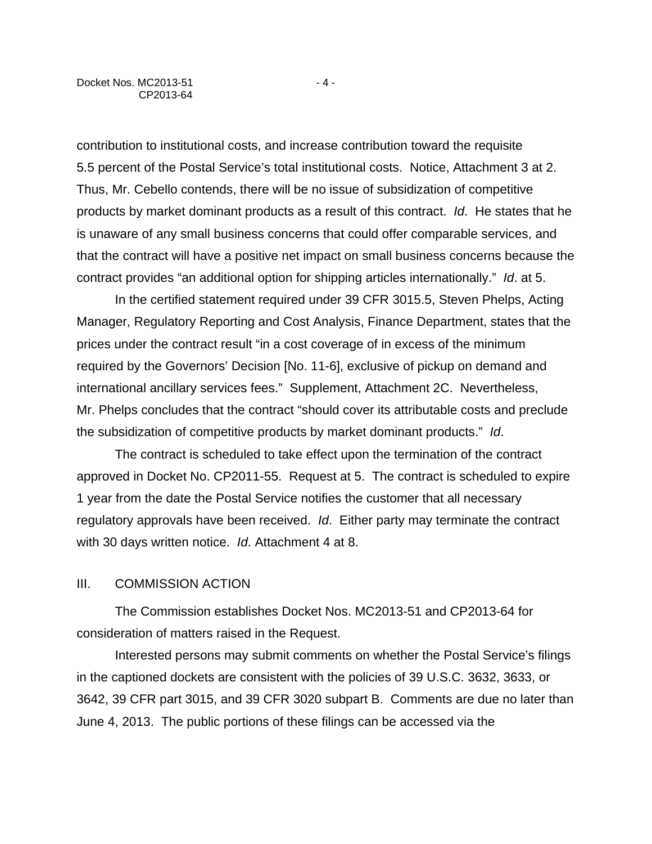contribution to institutional costs, and increase contribution toward the requisite 5.5 percent of the Postal Service's total institutional costs. Notice, Attachment 3 at 2. Thus, Mr. Cebello contends, there will be no issue of subsidization of competitive products by market dominant products as a result of this contract. *Id*. He states that he is unaware of any small business concerns that could offer comparable services, and that the contract will have a positive net impact on small business concerns because the contract provides "an additional option for shipping articles internationally." *Id*. at 5.

In the certified statement required under 39 CFR 3015.5, Steven Phelps, Acting Manager, Regulatory Reporting and Cost Analysis, Finance Department, states that the prices under the contract result "in a cost coverage of in excess of the minimum required by the Governors' Decision [No. 11-6], exclusive of pickup on demand and international ancillary services fees." Supplement, Attachment 2C. Nevertheless, Mr. Phelps concludes that the contract "should cover its attributable costs and preclude the subsidization of competitive products by market dominant products." *Id*.

The contract is scheduled to take effect upon the termination of the contract approved in Docket No. CP2011-55. Request at 5. The contract is scheduled to expire 1 year from the date the Postal Service notifies the customer that all necessary regulatory approvals have been received. *Id*. Either party may terminate the contract with 30 days written notice. *Id*. Attachment 4 at 8.

#### III. COMMISSION ACTION

The Commission establishes Docket Nos. MC2013-51 and CP2013-64 for consideration of matters raised in the Request.

Interested persons may submit comments on whether the Postal Service's filings in the captioned dockets are consistent with the policies of 39 U.S.C. 3632, 3633, or 3642, 39 CFR part 3015, and 39 CFR 3020 subpart B. Comments are due no later than June 4, 2013. The public portions of these filings can be accessed via the